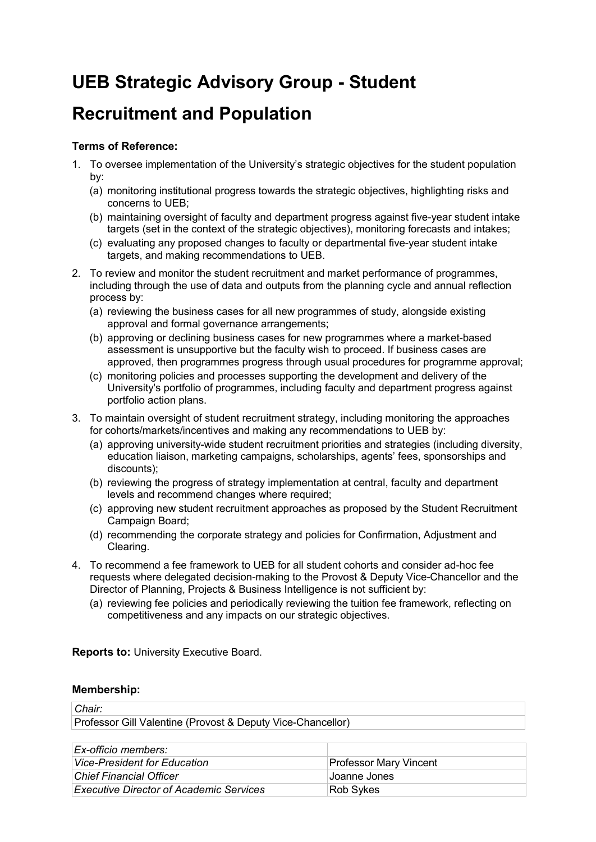# **UEB Strategic Advisory Group - Student**

## **Recruitment and Population**

## **Terms of Reference:**

- 1. To oversee implementation of the University's strategic objectives for the student population by:
	- (a) monitoring institutional progress towards the strategic objectives, highlighting risks and concerns to UEB;
	- (b) maintaining oversight of faculty and department progress against five-year student intake targets (set in the context of the strategic objectives), monitoring forecasts and intakes;
	- (c) evaluating any proposed changes to faculty or departmental five-year student intake targets, and making recommendations to UEB.
- 2. To review and monitor the student recruitment and market performance of programmes, including through the use of data and outputs from the planning cycle and annual reflection process by:
	- (a) reviewing the business cases for all new programmes of study, alongside existing approval and formal governance arrangements;
	- (b) approving or declining business cases for new programmes where a market-based assessment is unsupportive but the faculty wish to proceed. If business cases are approved, then programmes progress through usual procedures for programme approval;
	- (c) monitoring policies and processes supporting the development and delivery of the University's portfolio of programmes, including faculty and department progress against portfolio action plans.
- 3. To maintain oversight of student recruitment strategy, including monitoring the approaches for cohorts/markets/incentives and making any recommendations to UEB by:
	- (a) approving university-wide student recruitment priorities and strategies (including diversity, education liaison, marketing campaigns, scholarships, agents' fees, sponsorships and discounts);
	- (b) reviewing the progress of strategy implementation at central, faculty and department levels and recommend changes where required;
	- (c) approving new student recruitment approaches as proposed by the Student Recruitment Campaign Board;
	- (d) recommending the corporate strategy and policies for Confirmation, Adjustment and Clearing.
- 4. To recommend a fee framework to UEB for all student cohorts and consider ad-hoc fee requests where delegated decision-making to the Provost & Deputy Vice-Chancellor and the Director of Planning, Projects & Business Intelligence is not sufficient by:
	- (a) reviewing fee policies and periodically reviewing the tuition fee framework, reflecting on competitiveness and any impacts on our strategic objectives.

**Reports to:** University Executive Board.

### **Membership:**

### *Chair:*

Professor Gill Valentine (Provost & Deputy Vice-Chancellor)

| Ex-officio members:                            |                               |
|------------------------------------------------|-------------------------------|
| Vice-President for Education                   | <b>Professor Mary Vincent</b> |
| <b>Chief Financial Officer</b>                 | Joanne Jones                  |
| <b>Executive Director of Academic Services</b> | Rob Sykes                     |